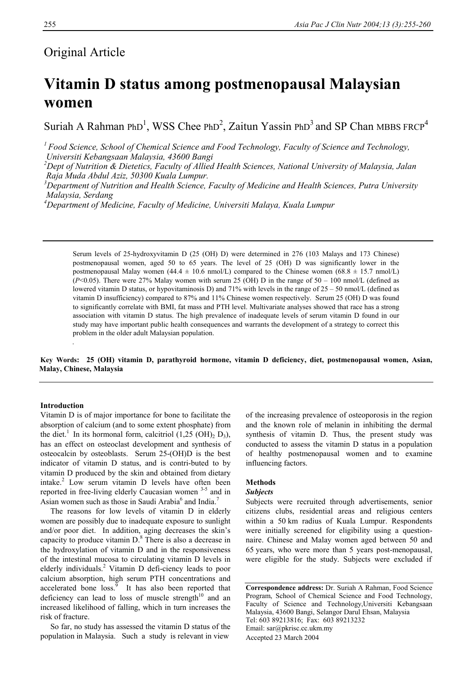# Original Article

# **Vitamin D status among postmenopausal Malaysian women**

Suriah A Rahman PhD<sup>1</sup>, WSS Chee PhD<sup>2</sup>, Zaitun Yassin PhD<sup>3</sup> and SP Chan MBBS FRCP<sup>4</sup>

*1 Food Science, School of Chemical Science and Food Technology, Faculty of Science and Technology, Universiti Kebangsaan Malaysia, 43600 Bangi* 

*2 Dept of Nutrition & Dietetics, Faculty of Allied Health Sciences, National University of Malaysia, Jalan Raja Muda Abdul Aziz, 50300 Kuala Lumpur.* 

*3 Department of Nutrition and Health Science, Faculty of Medicine and Health Sciences, Putra University Malaysia, Serdang* 

*4 Department of Medicine, Faculty of Medicine, Universiti Malaya, Kuala Lumpur* 

Serum levels of 25-hydroxyvitamin D (25 (OH) D) were determined in 276 (103 Malays and 173 Chinese) postmenopausal women, aged 50 to 65 years. The level of 25 (OH) D was significantly lower in the postmenopausal Malay women  $(44.4 \pm 10.6 \text{ nmol/L})$  compared to the Chinese women  $(68.8 \pm 15.7 \text{ nmol/L})$  $(P<0.05)$ . There were 27% Malay women with serum 25 (OH) D in the range of 50 – 100 nmol/L (defined as lowered vitamin D status, or hypovitaminosis D) and 71% with levels in the range of  $25 - 50$  nmol/L (defined as vitamin D insufficiency) compared to 87% and 11% Chinese women respectively. Serum 25 (OH) D was found to significantly correlate with BMI, fat mass and PTH level. Multivariate analyses showed that race has a strong association with vitamin D status. The high prevalence of inadequate levels of serum vitamin D found in our study may have important public health consequences and warrants the development of a strategy to correct this problem in the older adult Malaysian population.

**Key Words: 25 (OH) vitamin D, parathyroid hormone, vitamin D deficiency, diet, postmenopausal women, Asian, Malay, Chinese, Malaysia** 

## **Introduction**

.

Vitamin D is of major importance for bone to facilitate the absorption of calcium (and to some extent phosphate) from the diet.<sup>1</sup> In its hormonal form, calcitriol  $(1,25 \text{ (OH)}, D_3)$ , has an effect on osteoclast development and synthesis of osteocalcin by osteoblasts. Serum 25-(OH)D is the best indicator of vitamin D status, and is contri-buted to by vitamin D produced by the skin and obtained from dietary intake.<sup>2</sup> Low serum vitamin D levels have often been reported in free-living elderly Caucasian women 3-5 and in Asian women such as those in Saudi Arabia $<sup>6</sup>$  and India.<sup>7</sup></sup>

 The reasons for low levels of vitamin D in elderly women are possibly due to inadequate exposure to sunlight and/or poor diet. In addition, aging decreases the skin's capacity to produce vitamin  $D^8$ . There is also a decrease in the hydroxylation of vitamin D and in the responsiveness of the intestinal mucosa to circulating vitamin D levels in elderly individuals.<sup>2</sup> Vitamin D defi-ciency leads to poor calcium absorption, high serum PTH concentrations and accelerated bone  $\cos^9$  It has also been reported that deficiency can lead to loss of muscle strength $10$  and an increased likelihood of falling, which in turn increases the risk of fracture.

 So far, no study has assessed the vitamin D status of the population in Malaysia. Such a study is relevant in view

of the increasing prevalence of osteoporosis in the region and the known role of melanin in inhibiting the dermal synthesis of vitamin D. Thus, the present study was conducted to assess the vitamin D status in a population of healthy postmenopausal women and to examine influencing factors.

# **Methods**

#### *Subjects*

Subjects were recruited through advertisements, senior citizens clubs, residential areas and religious centers within a 50 km radius of Kuala Lumpur. Respondents were initially screened for eligibility using a questionnaire. Chinese and Malay women aged between 50 and 65 years, who were more than 5 years post-menopausal, were eligible for the study. Subjects were excluded if

**Correspondence address:** Dr. Suriah A Rahman, Food Science Program, School of Chemical Science and Food Technology, Faculty of Science and Technology,Universiti Kebangsaan Malaysia, 43600 Bangi, Selangor Darul Ehsan, Malaysia Tel: 603 89213816; Fax: 603 89213232 Email: sar@pkrisc.cc.ukm.my Accepted 23 March 2004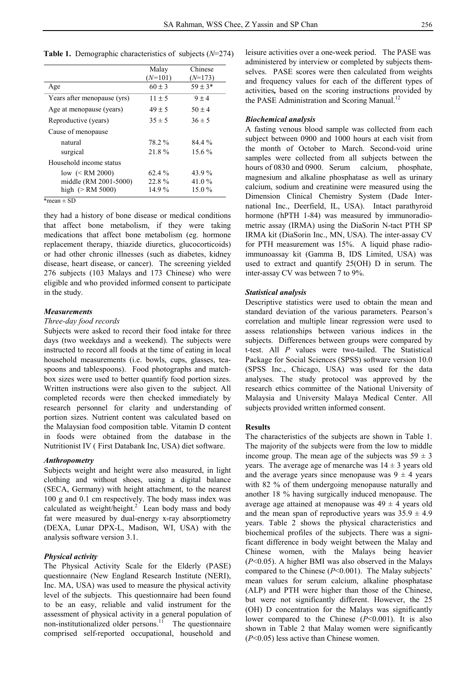**Table 1.** Demographic characteristics of subjects (*N*=274)

|                             | Malay      | Chinese     |
|-----------------------------|------------|-------------|
|                             | $(N=101)$  | $(N=173)$   |
| Age                         | $60 \pm 3$ | $59 \pm 3*$ |
| Years after menopause (yrs) | $11 \pm 5$ | $9 \pm 4$   |
| Age at menopause (years)    | $49 \pm 5$ | $50 \pm 4$  |
| Reproductive (years)        | $35 \pm 5$ | $36 \pm 5$  |
| Cause of menopause          |            |             |
| natural                     | 78.2 %     | 84.4%       |
| surgical                    | 21.8%      | $15.6\%$    |
| Household income status     |            |             |
| low $(< RM 2000)$           | $62.4\%$   | 43.9%       |
| middle (RM 2001-5000)       | 22.8%      | 41.0 $\%$   |
| high $(> RM 5000)$          | 14.9%      | $15.0\%$    |

 $*$ mean + SD

they had a history of bone disease or medical conditions that affect bone metabolism, if they were taking medications that affect bone metabolism (eg. hormone replacement therapy, thiazide diuretics, glucocorticoids) or had other chronic illnesses (such as diabetes, kidney disease, heart disease, or cancer). The screening yielded 276 subjects (103 Malays and 173 Chinese) who were eligible and who provided informed consent to participate in the study.

#### *Measurements*

#### *Three-day food records*

Subjects were asked to record their food intake for three days (two weekdays and a weekend). The subjects were instructed to record all foods at the time of eating in local household measurements (i.e. bowls, cups, glasses, teaspoons and tablespoons). Food photographs and matchbox sizes were used to better quantify food portion sizes. Written instructions were also given to the subject. All completed records were then checked immediately by research personnel for clarity and understanding of portion sizes. Nutrient content was calculated based on the Malaysian food composition table. Vitamin D content in foods were obtained from the database in the Nutritionist IV ( First Databank Inc, USA) diet software.

# *Anthropometry*

Subjects weight and height were also measured, in light clothing and without shoes, using a digital balance (SECA, Germany) with height attachment, to the nearest 100 g and 0.1 cm respectively. The body mass index was calculated as weight/height. $^{2}$  Lean body mass and body fat were measured by dual-energy x-ray absorptiometry (DEXA, Lunar DPX-L, Madison, WI, USA) with the analysis software version 3.1.

#### *Physical activity*

The Physical Activity Scale for the Elderly (PASE) questionnaire (New England Research Institute (NERI), Inc. MA, USA) was used to measure the physical activity level of the subjects. This questionnaire had been found to be an easy, reliable and valid instrument for the assessment of physical activity in a general population of non-institutionalized older persons.<sup>11</sup> The questionnaire comprised self-reported occupational, household and

leisure activities over a one-week period. The PASE was administered by interview or completed by subjects themselves. PASE scores were then calculated from weights and frequency values for each of the different types of activities*,* based on the scoring instructions provided by the PASE Administration and Scoring Manual.<sup>12</sup>

#### *Biochemical analysis*

A fasting venous blood sample was collected from each subject between 0900 and 1000 hours at each visit from the month of October to March. Second-void urine samples were collected from all subjects between the hours of 0830 and 0900. Serum calcium, phosphate, magnesium and alkaline phosphatase as well as urinary calcium, sodium and creatinine were measured using the Dimension Clinical Chemistry System (Dade International Inc., Deerfield, IL, USA). Intact parathyroid hormone (hPTH 1-84) was measured by immunoradiometric assay (IRMA) using the DiaSorin N-tact PTH SP IRMA kit (DiaSorin Inc., MN, USA). The inter-assay CV for PTH measurement was 15%. A liquid phase radioimmunoassay kit (Gamma B, IDS Limited, USA) was used to extract and quantify 25(OH) D in serum. The inter-assay CV was between 7 to 9%.

#### *Statistical analysis*

Descriptive statistics were used to obtain the mean and standard deviation of the various parameters. Pearson's correlation and multiple linear regression were used to assess relationships between various indices in the subjects. Differences between groups were compared by t-test. All *P* values were two-tailed. The Statistical Package for Social Sciences (SPSS) software version 10.0 (SPSS Inc., Chicago, USA) was used for the data analyses. The study protocol was approved by the research ethics committee of the National University of Malaysia and University Malaya Medical Center. All subjects provided written informed consent.

# **Results**

The characteristics of the subjects are shown in Table 1. The majority of the subjects were from the low to middle income group. The mean age of the subjects was  $59 \pm 3$ years. The average age of menarche was  $14 \pm 3$  years old and the average years since menopause was  $9 \pm 4$  years with 82 % of them undergoing menopause naturally and another 18 % having surgically induced menopause. The average age attained at menopause was  $49 \pm 4$  years old and the mean span of reproductive years was  $35.9 \pm 4.9$ years. Table 2 shows the physical characteristics and biochemical profiles of the subjects. There was a significant difference in body weight between the Malay and Chinese women, with the Malays being heavier (*P*<0.05). A higher BMI was also observed in the Malays compared to the Chinese (*P*<0.001). The Malay subjects' mean values for serum calcium, alkaline phosphatase (ALP) and PTH were higher than those of the Chinese, but were not significantly different. However, the 25 (OH) D concentration for the Malays was significantly lower compared to the Chinese (*P*<0.001). It is also shown in Table 2 that Malay women were significantly (*P*<0.05) less active than Chinese women.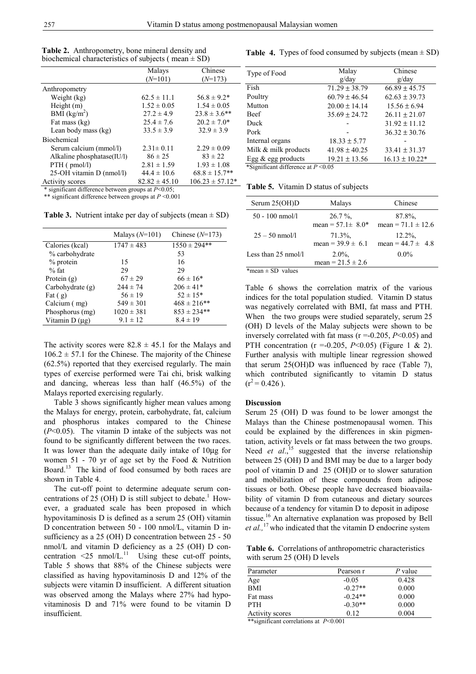|                            | Malays            | Chinese             |
|----------------------------|-------------------|---------------------|
|                            | $(N=101)$         | $(N=173)$           |
| Anthropometry              |                   |                     |
| Weight (kg)                | $62.5 \pm 11.1$   | $56.8 \pm 9.2*$     |
| Height $(m)$               | $1.52 \pm 0.05$   | $1.54 \pm 0.05$     |
| BMI $(kg/m2)$              | $27.2 \pm 4.9$    | $23.8 \pm 3.6$ **   |
| Fat mass (kg)              | $25.4 \pm 7.6$    | $20.2 \pm 7.0*$     |
| Lean body mass (kg)        | $33.5 \pm 3.9$    | $32.9 \pm 3.9$      |
| <b>Biochemical</b>         |                   |                     |
| Serum calcium (mmol/l)     | $2.31 \pm 0.11$   | $2.29 \pm 0.09$     |
| Alkaline phosphatase(IU/l) | $86 \pm 25$       | $83 \pm 22$         |
| $PTH$ ( $pmol/l$ )         | $2.81 \pm 1.59$   | $1.93 \pm 1.08$     |
| 25-OH vitamin D (nmol/l)   | $44.4 \pm 10.6$   | $68.8 \pm 15.7**$   |
| Activity scores            | $82.82 \pm 45.10$ | $106.23 \pm 57.12*$ |

**Table 2.** Anthropometry, bone mineral density and biochemical characteristics of subjects ( $mean \pm SD$ )

\* significant difference between groups at *P*<0.05;

\*\* significant difference between groups at *P* <0.001

**Table 3.** Nutrient intake per day of subjects (mean  $\pm$  SD)

|                    | Malays $(N=101)$ | Chinese $(N=173)$ |
|--------------------|------------------|-------------------|
| Calories (kcal)    | $1747 \pm 483$   | $1550 \pm 294**$  |
| % carbohydrate     |                  | 53                |
| $%$ protein        | 15               | 16                |
| $%$ fat            | 29               | 29                |
| Protein $(g)$      | $67 \pm 29$      | $66 \pm 16*$      |
| Carbohydrate $(g)$ | $244 \pm 74$     | $206 \pm 41*$     |
| Fat $(g)$          | $56 \pm 19$      | $52 \pm 15*$      |
| Calcium (mg)       | $549 \pm 301$    | $468 \pm 216$ **  |
| Phosphorus (mg)    | $1020 \pm 381$   | $853 \pm 234**$   |
| Vitamin $D(\mu g)$ | $9.1 \pm 12$     | $8.4 \pm 19$      |

The activity scores were  $82.8 \pm 45.1$  for the Malays and  $106.2 \pm 57.1$  for the Chinese. The majority of the Chinese (62.5%) reported that they exercised regularly. The main types of exercise performed were Tai chi, brisk walking and dancing, whereas less than half (46.5%) of the Malays reported exercising regularly.

 Table 3 shows significantly higher mean values among the Malays for energy, protein, carbohydrate, fat, calcium and phosphorus intakes compared to the Chinese (*P*<0.05). The vitamin D intake of the subjects was not found to be significantly different between the two races. It was lower than the adequate daily intake of 10µg for women 51 - 70 yr of age set by the Food  $&$  Nutrition Board.13 The kind of food consumed by both races are shown in Table 4.

 The cut-off point to determine adequate serum concentrations of 25 (OH) D is still subject to debate.<sup>1</sup> However, a graduated scale has been proposed in which hypovitaminosis D is defined as a serum 25 (OH) vitamin D concentration between 50 - 100 nmol/L, vitamin D insufficiency as a 25 (OH) D concentration between 25 - 50 nmol/L and vitamin D deficiency as a 25 (OH) D concentration  $\leq 25$  nmol/L.<sup>11</sup> Using these cut-off points, Table 5 shows that 88% of the Chinese subjects were classified as having hypovitaminosis D and 12% of the subjects were vitamin D insufficient. A different situation was observed among the Malays where 27% had hypovitaminosis D and 71% were found to be vitamin D insufficient.

**Table 4.** Types of food consumed by subjects (mean  $\pm$  SD)

| Type of Food          | Malay             | Chinese            |
|-----------------------|-------------------|--------------------|
|                       | g/dav             | g/dav              |
| Fish                  | $71.29 \pm 38.79$ | $66.89 \pm 45.75$  |
| Poultry               | $60.79 \pm 46.54$ | $62.63 \pm 39.73$  |
| Mutton                | $20.00 \pm 14.14$ | $15.56 \pm 6.94$   |
| <b>Beef</b>           | $35.69 \pm 24.72$ | $26.11 \pm 21.07$  |
| Duck                  |                   | $31.92 \pm 11.12$  |
| Pork                  |                   | $36.32 \pm 30.76$  |
| Internal organs       | $18.33 \pm 5.77$  |                    |
| Milk & milk products  | $41.98 \pm 40.25$ | $33.41 \pm 31.37$  |
| Egg $\&$ egg products | $19.21 \pm 13.56$ | $16.13 \pm 10.22*$ |

**Table 5.** Vitamin D status of subjects

| Serum $25(OH)D$     | Malays                              | Chinese                             |
|---------------------|-------------------------------------|-------------------------------------|
| $50 - 100$ nmol/l   | $26.7\%$<br>mean = $57.1 \pm 8.0^*$ | 87.8%<br>mean = $71.1 \pm 12.6$     |
| $25 - 50$ nmol/l    | $71.3\%$ ,<br>mean = $39.9 \pm 6.1$ | $12.2\%$ ,<br>mean = $44.7 \pm 4.8$ |
| Less than 25 nmol/l | $2.0\%$ ,<br>mean = $21.5 \pm 2.6$  | $0.0\%$                             |

\*mean  $\pm$  SD values

Table 6 shows the correlation matrix of the various indices for the total population studied. Vitamin D status was negatively correlated with BMI, fat mass and PTH. When the two groups were studied separately, serum 25 (OH) D levels of the Malay subjects were shown to be inversely correlated with fat mass (r =-0.205, *P*<0.05) and PTH concentration (r =-0.205, *P*<0.05) (Figure 1 & 2). Further analysis with multiple linear regression showed that serum 25(OH)D was influenced by race (Table 7), which contributed significantly to vitamin D status  $(r^2 = 0.426)$ .

#### **Discussion**

Serum 25 (OH) D was found to be lower amongst the Malays than the Chinese postmenopausal women. This could be explained by the differences in skin pigmentation, activity levels or fat mass between the two groups. Need *et al.*,<sup>15</sup> suggested that the inverse relationship between 25 (OH) D and BMI may be due to a larger body pool of vitamin D and 25 (OH)D or to slower saturation and mobilization of these compounds from adipose tissues or both. Obese people have decreased bioavailability of vitamin D from cutaneous and dietary sources because of a tendency for vitamin D to deposit in adipose tissue.<sup>16</sup> An alternative explanation was proposed by Bell *et al.,*17 who indicated that the vitamin D endocrine system

 **Table 6.** Correlations of anthropometric characteristics with serum 25 (OH) D levels

| Parameter       | Pearson r | P value |
|-----------------|-----------|---------|
| Age             | $-0.05$   | 0.428   |
| <b>BMI</b>      | $-0.27**$ | 0.000   |
| Fat mass        | $-0.24**$ | 0.000   |
| <b>PTH</b>      | $-0.30**$ | 0.000   |
| Activity scores | 0.12      | 0.004   |

\*\*significant correlations at *P*<0.001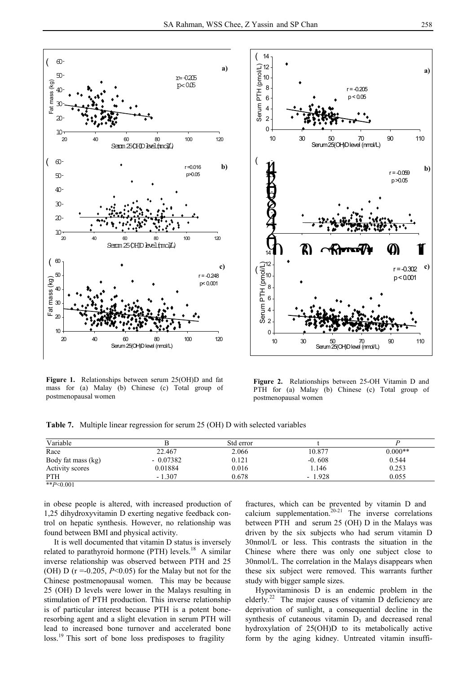



**Figure 1.** Relationships between serum 25(OH)D and fat mass for (a) Malay (b) Chinese (c) Total group of postmenopausal women

**Figure 2.** Relationships between 25-OH Vitamin D and PTH for (a) Malay (b) Chinese (c) Total group of postmenopausal women

**Table 7.** Multiple linear regression for serum 25 (OH) D with selected variables

| Variable           |            | Std error |          |           |
|--------------------|------------|-----------|----------|-----------|
| Race               | 22.467     | 2.066     | 10.877   | $0.000**$ |
| Body fat mass (kg) | $-0.07382$ | 0.121     | $-0.608$ | 0.544     |
| Activity scores    | 0.01884    | 0.016     | 1.146    | 0.253     |
| <b>PTH</b>         | $-1.307$   | 0.678     | $-1.928$ | 0.055     |

in obese people is altered, with increased production of 1,25 dihydroxyvitamin D exerting negative feedback control on hepatic synthesis. However, no relationship was found between BMI and physical activity.

 It is well documented that vitamin D status is inversely related to parathyroid hormone (PTH) levels.<sup>18</sup> A similar inverse relationship was observed between PTH and 25 (OH) D ( $r = -0.205$ ,  $P < 0.05$ ) for the Malay but not for the Chinese postmenopausal women. This may be because 25 (OH) D levels were lower in the Malays resulting in stimulation of PTH production. This inverse relationship is of particular interest because PTH is a potent boneresorbing agent and a slight elevation in serum PTH will lead to increased bone turnover and accelerated bone loss.19 This sort of bone loss predisposes to fragility

fractures, which can be prevented by vitamin D and calcium supplementation. $20-21$  The inverse correlations between PTH and serum 25 (OH) D in the Malays was driven by the six subjects who had serum vitamin D 30nmol/L or less. This contrasts the situation in the Chinese where there was only one subject close to 30nmol/L. The correlation in the Malays disappears when these six subject were removed. This warrants further study with bigger sample sizes.

 Hypovitaminosis D is an endemic problem in the elderly.<sup>22</sup> The major causes of vitamin D deficiency are deprivation of sunlight, a consequential decline in the synthesis of cutaneous vitamin  $D_3$  and decreased renal hydroxylation of 25(OH)D to its metabolically active form by the aging kidney. Untreated vitamin insuffi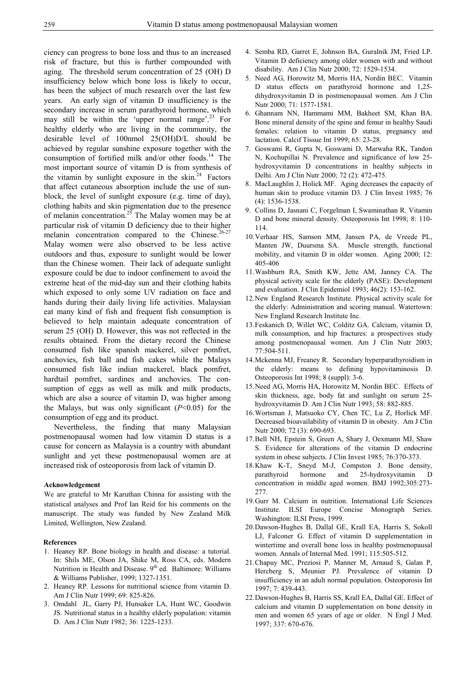ciency can progress to bone loss and thus to an increased risk of fracture, but this is further compounded with aging. The threshold serum concentration of 25 (OH) D insufficiency below which bone loss is likely to occur, has been the subject of much research over the last few years. An early sign of vitamin D insufficiency is the secondary increase in serum parathyroid hormone, which may still be within the 'upper normal range'.<sup>23</sup> For healthy elderly who are living in the community, the desirable level of 100nmol 25(OH)D/L should be achieved by regular sunshine exposure together with the consumption of fortified milk and/or other foods.<sup>14</sup> The most important source of vitamin D is from synthesis of the vitamin by sunlight exposure in the skin.<sup>24</sup> Factors that affect cutaneous absorption include the use of sunblock, the level of sunlight exposure (e.g. time of day), clothing habits and skin pigmentation due to the presence of melanin concentration.<sup>25</sup> The Malay women may be at particular risk of vitamin D deficiency due to their higher melanin concentration compared to the Chinese.<sup>26-27</sup> Malay women were also observed to be less active outdoors and thus, exposure to sunlight would be lower than the Chinese women. Their lack of adequate sunlight exposure could be due to indoor confinement to avoid the extreme heat of the mid-day sun and their clothing habits which exposed to only some UV radiation on face and hands during their daily living life activities. Malaysian eat many kind of fish and frequent fish consumption is believed to help maintain adequate concentration of serum 25 (OH) D. However, this was not reflected in the results obtained. From the dietary record the Chinese consumed fish like spanish mackerel, silver pomfret, anchovies, fish ball and fish cakes while the Malays consumed fish like indian mackerel, black pomfret, hardtail pomfret, sardines and anchovies. The consumption of eggs as well as milk and milk products, which are also a source of vitamin D, was higher among the Malays, but was only significant  $(P<0.05)$  for the consumption of egg and its product.

 Nevertheless, the finding that many Malaysian postmenopausal women had low vitamin D status is a cause for concern as Malaysia is a country with abundant sunlight and yet these postmenopausal women are at increased risk of osteoporosis from lack of vitamin D.

# **Acknowledgement**

We are grateful to Mr Karuthan Chinna for assisting with the statistical analyses and Prof Ian Reid for his comments on the manuscript. The study was funded by New Zealand Milk Limited, Wellington, New Zealand.

#### **References**

- 1. Heaney RP. Bone biology in health and disease: a tutorial. In: Shils ME, Olson JA, Shike M, Ross CA, eds. Modern Nutrition in Health and Disease. 9<sup>th</sup> ed. Baltimore: Williams & Williams Publisher, 1999; 1327-1351.
- 2. Heaney RP. Lessons for nutritional science from vitamin D. Am J Clin Nutr 1999; 69: 825-826.
- 3. Omdahl JL, Garry PJ, Hunsaker LA, Hunt WC, Goodwin JS. Nutritional status in a healthy elderly population: vitamin D. Am J Clin Nutr 1982; 36: 1225-1233.
- 4. Semba RD, Garret E, Johnson BA, Guralnik JM, Fried LP. Vitamin D deficiency among older women with and without disability. Am J Clin Nutr 2000; 72: 1529-1534.
- 5. Need AG, Horowitz M, Morris HA, Nordin BEC. Vitamin D status effects on parathyroid hormone and 1,25 dihydroxyvitamin D in postmenopausal women. Am J Clin Nutr 2000; 71: 1577-1581.
- 6. Ghannam NN, Hammami MM, Bakheet SM, Khan BA. Bone mineral density of the spine and femur in healthy Saudi females: relation to vitamin D status, pregnancy and lactation. Calcif Tissue Int 1999; 65: 23-28.
- 7. Goswami R, Gupta N, Goswami D, Marwaha RK, Tandon N, Kochupillai N. Prevalence and significance of low 25 hydroxyvitamin D concentrations in healthy subjects in Delhi. Am J Clin Nutr 2000; 72 (2): 472-475.
- 8. MacLaughlin J, Holick MF. Aging decreases the capacity of human skin to produce vitamin D3. J Clin Invest 1985; 76 (4): 1536-1538.
- 9. Collins D, Jasnani C, Forgelman I, Swaminathan R. Vitamin D and bone mineral density. Osteoporosis Int 1998; 8: 110- 114.
- 10. Verhaar HS, Samson MM, Jansen PA, de Vreede PL, Manten JW, Duursma SA. Muscle strength, functional mobility, and vitamin D in older women. Aging 2000; 12: 405-406
- 11. Washburn RA, Smith KW, Jette AM, Janney CA. The physical activity scale for the elderly (PASE): Development and evaluation. J Clin Epidemiol 1993; 46(2): 153-162.
- 12. New England Research Institute. Physical activity scale for the elderly: Administration and scoring manual. Watertown: New England Research Institute Inc.
- 13. Feskanich D, Willet WC, Colditz GA. Calcium, vitamin D, milk consumption, and hip fractures: a prospectives study among postmenopausal women. Am J Clin Nutr 2003; 77:504-511.
- 14. Mckenna MJ, Freaney R. Secondary hyperparathyroidism in the elderly: means to defining hypovitaminosis D. Osteoporosis Int 1998; 8 (suppl): 3-6.
- 15. Need AG, Morris HA, Horowitz M, Nordin BEC. Effects of skin thickness, age, body fat and sunlight on serum 25 hydroxyvitamin D. Am J Clin Nutr 1993; 58: 882-885.
- 16. Wortsman J, Matsuoko CY, Chen TC, Lu Z, Horlick MF. Decreased bioavailability of vitamin D in obesity. Am J Clin Nutr 2000; 72 (3): 690-693.
- 17. Bell NH, Epstein S, Green A, Shary J, Oexmann MJ, Shaw S. Evidence for alterations of the vitamin D endocrine system in obese subjects. J Clin Invest 1985; 76:370-373.
- 18. Khaw K-T, Sneyd M-J, Compston J. Bone density, parathyroid hormone and 25-hydroxyvitamin D concentration in middle aged women. BMJ 1992;305:273- 277.
- 19. Gurr M. Calcium in nutrition. International Life Sciences Institute. ILSI Europe Concise Monograph Series. Washington: ILSI Press, 1999.
- 20. Dawson-Hughes B, Dallal GE, Krall EA, Harris S, Sokoll LJ, Falconer G. Effect of vitamin D supplementation in wintertime and overall bone loss in healthy postmenopausal women. Annals of Internal Med. 1991; 115:505-512.
- 21. Chapuy MC, Preziosi P, Manner M, Arnaud S, Galan P, Hercberg S, Meunier PJ. Prevalence of vitamin D insufficiency in an adult normal population. Osteoporosis Int 1997; 7: 439-443.
- 22. Dawson-Hughes B, Harris SS, Krall EA, Dallal GE. Effect of calcium and vitamin D supplementation on bone density in men and women 65 years of age or older. N Engl J Med. 1997; 337: 670-676.